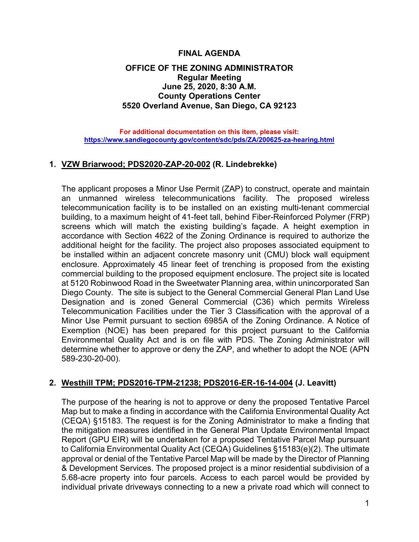### **FINAL AGENDA**

# **OFFICE OF THE ZONING ADMINISTRATOR Regular Meeting June 25, 2020, 8:30 A.M. County Operations Center 5520 Overland Avenue, San Diego, CA 92123**

#### **For additional documentation on this item, please visit: <https://www.sandiegocounty.gov/content/sdc/pds/ZA/200625-za-hearing.html>**

# **1. VZW Briarwood; PDS2020-ZAP-20-002 (R. Lindebrekke)**

The applicant proposes a Minor Use Permit (ZAP) to construct, operate and maintain an unmanned wireless telecommunications facility. The proposed wireless telecommunication facility is to be installed on an existing multi-tenant commercial building, to a maximum height of 41-feet tall, behind Fiber-Reinforced Polymer (FRP) screens which will match the existing building's façade. A height exemption in accordance with Section 4622 of the Zoning Ordinance is required to authorize the additional height for the facility. The project also proposes associated equipment to be installed within an adjacent concrete masonry unit (CMU) block wall equipment enclosure. Approximately 45 linear feet of trenching is proposed from the existing commercial building to the proposed equipment enclosure. The project site is located at 5120 Robinwood Road in the Sweetwater Planning area, within unincorporated San Diego County. The site is subject to the General Commercial General Plan Land Use Designation and is zoned General Commercial (C36) which permits Wireless Telecommunication Facilities under the Tier 3 Classification with the approval of a Minor Use Permit pursuant to section 6985A of the Zoning Ordinance. A Notice of Exemption (NOE) has been prepared for this project pursuant to the California Environmental Quality Act and is on file with PDS. The Zoning Administrator will determine whether to approve or deny the ZAP, and whether to adopt the NOE (APN 589-230-20-00).

# **2. Westhill TPM; PDS2016-TPM-21238; PDS2016-ER-16-14-004 (J. Leavitt)**

The purpose of the hearing is not to approve or deny the proposed Tentative Parcel Map but to make a finding in accordance with the California Environmental Quality Act (CEQA) §15183. The request is for the Zoning Administrator to make a finding that the mitigation measures identified in the General Plan Update Environmental Impact Report (GPU EIR) will be undertaken for a proposed Tentative Parcel Map pursuant to California Environmental Quality Act (CEQA) Guidelines §15183(e)(2). The ultimate approval or denial of the Tentative Parcel Map will be made by the Director of Planning & Development Services. The proposed project is a minor residential subdivision of a 5.68-acre property into four parcels. Access to each parcel would be provided by individual private driveways connecting to a new a private road which will connect to